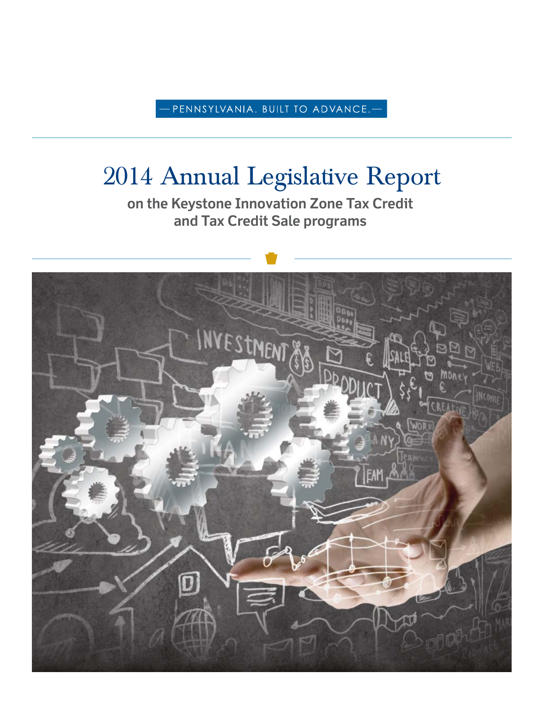- PENNSYLVANIA. BUILT TO ADVANCE. $-$ 

# 2014 Annual Legislative Report

**on the Keystone Innovation Zone Tax Credit and Tax Credit Sale programs**

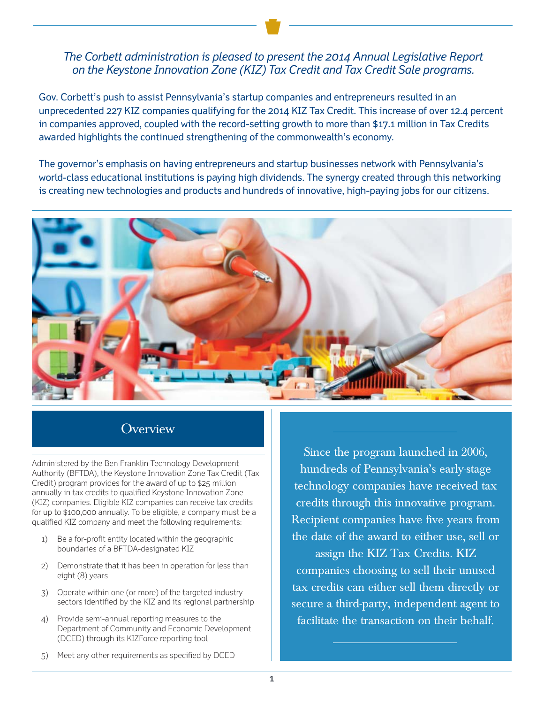## *The Corbett administration is pleased to present the 2014 Annual Legislative Report on the Keystone Innovation Zone (KIZ) Tax Credit and Tax Credit Sale programs.*

Gov. Corbett's push to assist Pennsylvania's startup companies and entrepreneurs resulted in an unprecedented 227 KIZ companies qualifying for the 2014 KIZ Tax Credit. This increase of over 12.4 percent in companies approved, coupled with the record-setting growth to more than \$17.1 million in Tax Credits awarded highlights the continued strengthening of the commonwealth's economy.

The governor's emphasis on having entrepreneurs and startup businesses network with Pennsylvania's world-class educational institutions is paying high dividends. The synergy created through this networking is creating new technologies and products and hundreds of innovative, high-paying jobs for our citizens.



# **Overview**

Administered by the Ben Franklin Technology Development Authority (BFTDA), the Keystone Innovation Zone Tax Credit (Tax Credit) program provides for the award of up to \$25 million annually in tax credits to qualified Keystone Innovation Zone (KIZ) companies. Eligible KIZ companies can receive tax credits for up to \$100,000 annually. To be eligible, a company must be a qualified KIZ company and meet the following requirements:

- 1) Be a for-profit entity located within the geographic boundaries of a BFTDA-designated KIZ
- 2) Demonstrate that it has been in operation for less than eight (8) years
- 3) Operate within one (or more) of the targeted industry sectors identified by the KIZ and its regional partnership
- 4) Provide semi-annual reporting measures to the Department of Community and Economic Development (DCED) through its KIZForce reporting tool

Since the program launched in 2006, hundreds of Pennsylvania's early-stage technology companies have received tax credits through this innovative program. Recipient companies have five years from the date of the award to either use, sell or assign the KIZ Tax Credits. KIZ companies choosing to sell their unused tax credits can either sell them directly or secure a third-party, independent agent to

facilitate the transaction on their behalf.

5) Meet any other requirements as specified by DCED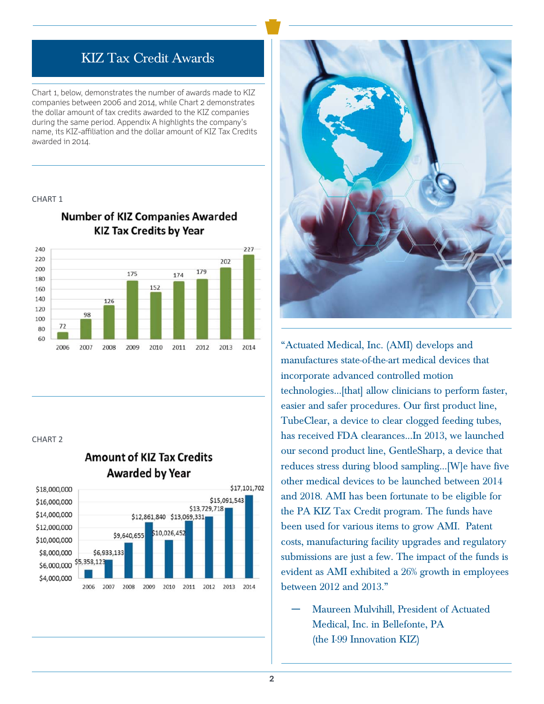# KIZ Tax Credit Awards

Chart 1, below, demonstrates the number of awards made to KIZ companies between 2006 and 2014, while Chart 2 demonstrates the dollar amount of tax credits awarded to the KIZ companies during the same period. Appendix A highlights the company's name, its KIZ-affiliation and the dollar amount of KIZ Tax Credits awarded in 2014.

#### CHART 1



2010

2011

2012

2013

2014

## **Number of KIZ Companies Awarded KIZ Tax Credits by Year**

#### CHART 2

2006

2007

2008

2009



## **Amount of KIZ Tax Credits Awarded by Year**



"Actuated Medical, Inc. (AMI) develops and manufactures state-of-the-art medical devices that incorporate advanced controlled motion technologies…[that] allow clinicians to perform faster, easier and safer procedures. Our first product line, TubeClear, a device to clear clogged feeding tubes, has received FDA clearances...In 2013, we launched our second product line, GentleSharp, a device that reduces stress during blood sampling…[W]e have five other medical devices to be launched between 2014 and 2018. AMI has been fortunate to be eligible for the PA KIZ Tax Credit program. The funds have been used for various items to grow AMI. Patent costs, manufacturing facility upgrades and regulatory submissions are just a few. The impact of the funds is evident as AMI exhibited a 26% growth in employees between 2012 and 2013."

Maureen Mulvihill, President of Actuated Medical, Inc. in Bellefonte, PA (the I-99 Innovation KIZ)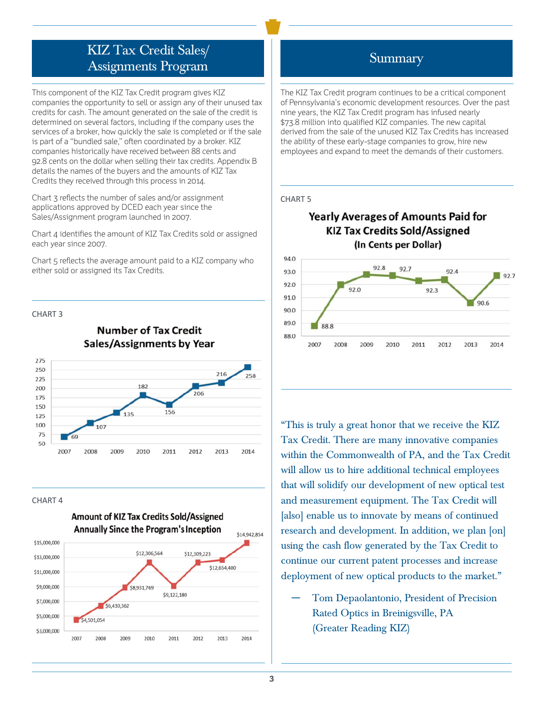# KIZ Tax Credit Sales/ Assignments Program

This component of the KIZ Tax Credit program gives KIZ companies the opportunity to sell or assign any of their unused tax credits for cash. The amount generated on the sale of the credit is determined on several factors, including if the company uses the services of a broker, how quickly the sale is completed or if the sale is part of a "bundled sale," often coordinated by a broker. KIZ companies historically have received between 88 cents and 92.8 cents on the dollar when selling their tax credits. Appendix B details the names of the buyers and the amounts of KIZ Tax Credits they received through this process in 2014.

Chart 3 reflects the number of sales and/or assignment applications approved by DCED each year since the Sales/Assignment program launched in 2007.

Chart 4 identifies the amount of KIZ Tax Credits sold or assigned each year since 2007.

Chart 5 reflects the average amount paid to a KIZ company who either sold or assigned its Tax Credits.

#### CHART 3

## **Number of Tax Credit Sales/Assignments by Year**



#### CHART 4



# Summary

The KIZ Tax Credit program continues to be a critical component of Pennsylvania's economic development resources. Over the past nine years, the KIZ Tax Credit program has infused nearly \$73.8 million into qualified KIZ companies. The new capital derived from the sale of the unused KIZ Tax Credits has increased the ability of these early-stage companies to grow, hire new employees and expand to meet the demands of their customers.

#### CHART 5

### **Yearly Averages of Amounts Paid for KIZ Tax Credits Sold/Assigned** (In Cents per Dollar)



"This is truly a great honor that we receive the KIZ Tax Credit. There are many innovative companies within the Commonwealth of PA, and the Tax Credit will allow us to hire additional technical employees that will solidify our development of new optical test and measurement equipment. The Tax Credit will [also] enable us to innovate by means of continued research and development. In addition, we plan [on] using the cash flow generated by the Tax Credit to continue our current patent processes and increase deployment of new optical products to the market."

― Tom Depaolantonio, President of Precision Rated Optics in Breinigsville, PA (Greater Reading KIZ)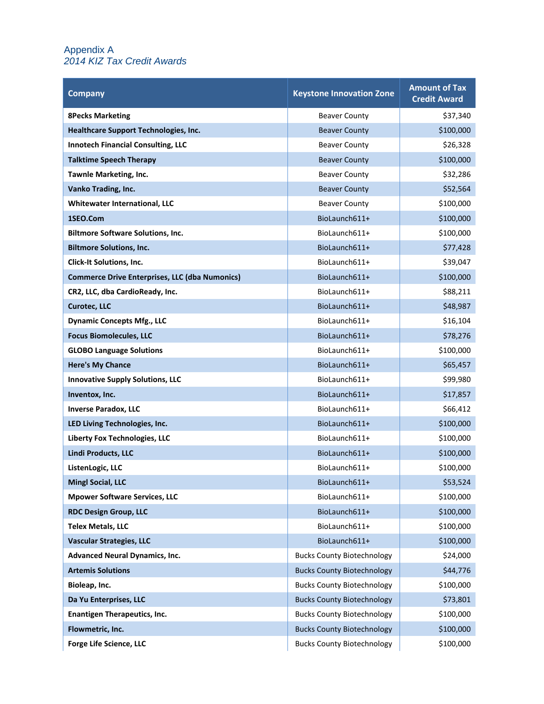#### Appendix A *2014 KIZ Tax Credit Awards*

| <b>Company</b>                                        | <b>Keystone Innovation Zone</b>   | <b>Amount of Tax</b><br><b>Credit Award</b> |
|-------------------------------------------------------|-----------------------------------|---------------------------------------------|
| <b>8Pecks Marketing</b>                               | <b>Beaver County</b>              | \$37,340                                    |
| Healthcare Support Technologies, Inc.                 | <b>Beaver County</b>              | \$100,000                                   |
| <b>Innotech Financial Consulting, LLC</b>             | <b>Beaver County</b>              | \$26,328                                    |
| <b>Talktime Speech Therapy</b>                        | <b>Beaver County</b>              | \$100,000                                   |
| <b>Tawnle Marketing, Inc.</b>                         | <b>Beaver County</b>              | \$32,286                                    |
| Vanko Trading, Inc.                                   | <b>Beaver County</b>              | \$52,564                                    |
| <b>Whitewater International, LLC</b>                  | <b>Beaver County</b>              | \$100,000                                   |
| 1SEO.Com                                              | BioLaunch611+                     | \$100,000                                   |
| <b>Biltmore Software Solutions, Inc.</b>              | BioLaunch611+                     | \$100,000                                   |
| <b>Biltmore Solutions, Inc.</b>                       | BioLaunch611+                     | \$77,428                                    |
| <b>Click-It Solutions, Inc.</b>                       | BioLaunch611+                     | \$39,047                                    |
| <b>Commerce Drive Enterprises, LLC (dba Numonics)</b> | BioLaunch611+                     | \$100,000                                   |
| CR2, LLC, dba CardioReady, Inc.                       | BioLaunch611+                     | \$88,211                                    |
| <b>Curotec, LLC</b>                                   | BioLaunch611+                     | \$48,987                                    |
| <b>Dynamic Concepts Mfg., LLC</b>                     | BioLaunch611+                     | \$16,104                                    |
| <b>Focus Biomolecules, LLC</b>                        | BioLaunch611+                     | \$78,276                                    |
| <b>GLOBO Language Solutions</b>                       | BioLaunch611+                     | \$100,000                                   |
| <b>Here's My Chance</b>                               | BioLaunch611+                     | \$65,457                                    |
| <b>Innovative Supply Solutions, LLC</b>               | BioLaunch611+                     | \$99,980                                    |
| Inventox, Inc.                                        | BioLaunch611+                     | \$17,857                                    |
| <b>Inverse Paradox, LLC</b>                           | BioLaunch611+                     | \$66,412                                    |
| LED Living Technologies, Inc.                         | BioLaunch611+                     | \$100,000                                   |
| <b>Liberty Fox Technologies, LLC</b>                  | BioLaunch611+                     | \$100,000                                   |
| <b>Lindi Products, LLC</b>                            | BioLaunch611+                     | \$100,000                                   |
| ListenLogic, LLC                                      | BioLaunch611+                     | \$100,000                                   |
| <b>Mingl Social, LLC</b>                              | BioLaunch611+                     | \$53,524                                    |
| <b>Mpower Software Services, LLC</b>                  | BioLaunch611+                     | \$100,000                                   |
| <b>RDC Design Group, LLC</b>                          | BioLaunch611+                     | \$100,000                                   |
| <b>Telex Metals, LLC</b>                              | BioLaunch611+                     | \$100,000                                   |
| <b>Vascular Strategies, LLC</b>                       | BioLaunch611+                     | \$100,000                                   |
| <b>Advanced Neural Dynamics, Inc.</b>                 | <b>Bucks County Biotechnology</b> | \$24,000                                    |
| <b>Artemis Solutions</b>                              | <b>Bucks County Biotechnology</b> | \$44,776                                    |
| Bioleap, Inc.                                         | <b>Bucks County Biotechnology</b> | \$100,000                                   |
| Da Yu Enterprises, LLC                                | <b>Bucks County Biotechnology</b> | \$73,801                                    |
| <b>Enantigen Therapeutics, Inc.</b>                   | <b>Bucks County Biotechnology</b> | \$100,000                                   |
| Flowmetric, Inc.                                      | <b>Bucks County Biotechnology</b> | \$100,000                                   |
| Forge Life Science, LLC                               | <b>Bucks County Biotechnology</b> | \$100,000                                   |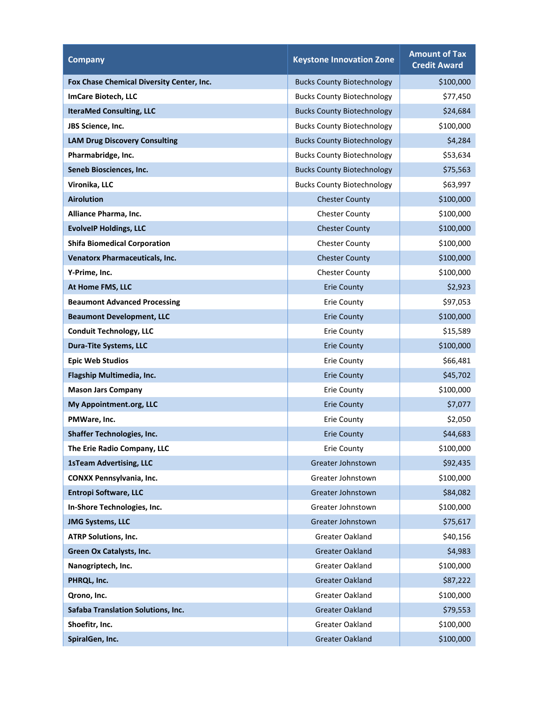| <b>Company</b>                            | <b>Keystone Innovation Zone</b>   | <b>Amount of Tax</b><br><b>Credit Award</b> |
|-------------------------------------------|-----------------------------------|---------------------------------------------|
| Fox Chase Chemical Diversity Center, Inc. | <b>Bucks County Biotechnology</b> | \$100,000                                   |
| ImCare Biotech, LLC                       | <b>Bucks County Biotechnology</b> | \$77,450                                    |
| <b>IteraMed Consulting, LLC</b>           | <b>Bucks County Biotechnology</b> | \$24,684                                    |
| JBS Science, Inc.                         | <b>Bucks County Biotechnology</b> | \$100,000                                   |
| <b>LAM Drug Discovery Consulting</b>      | <b>Bucks County Biotechnology</b> | \$4,284                                     |
| Pharmabridge, Inc.                        | <b>Bucks County Biotechnology</b> | \$53,634                                    |
| Seneb Biosciences, Inc.                   | <b>Bucks County Biotechnology</b> | \$75,563                                    |
| Vironika, LLC                             | <b>Bucks County Biotechnology</b> | \$63,997                                    |
| <b>Airolution</b>                         | <b>Chester County</b>             | \$100,000                                   |
| Alliance Pharma, Inc.                     | <b>Chester County</b>             | \$100,000                                   |
| <b>EvolveIP Holdings, LLC</b>             | <b>Chester County</b>             | \$100,000                                   |
| <b>Shifa Biomedical Corporation</b>       | <b>Chester County</b>             | \$100,000                                   |
| <b>Venatorx Pharmaceuticals, Inc.</b>     | <b>Chester County</b>             | \$100,000                                   |
| Y-Prime, Inc.                             | <b>Chester County</b>             | \$100,000                                   |
| At Home FMS, LLC                          | <b>Erie County</b>                | \$2,923                                     |
| <b>Beaumont Advanced Processing</b>       | <b>Erie County</b>                | \$97,053                                    |
| <b>Beaumont Development, LLC</b>          | <b>Erie County</b>                | \$100,000                                   |
| <b>Conduit Technology, LLC</b>            | <b>Erie County</b>                | \$15,589                                    |
| <b>Dura-Tite Systems, LLC</b>             | <b>Erie County</b>                | \$100,000                                   |
| <b>Epic Web Studios</b>                   | <b>Erie County</b>                | \$66,481                                    |
| Flagship Multimedia, Inc.                 | <b>Erie County</b>                | \$45,702                                    |
| <b>Mason Jars Company</b>                 | <b>Erie County</b>                | \$100,000                                   |
| My Appointment.org, LLC                   | <b>Erie County</b>                | \$7,077                                     |
| PMWare, Inc.                              | <b>Erie County</b>                | \$2,050                                     |
| <b>Shaffer Technologies, Inc.</b>         | <b>Erie County</b>                | \$44,683                                    |
| The Erie Radio Company, LLC               | <b>Erie County</b>                | \$100,000                                   |
| <b>1sTeam Advertising, LLC</b>            | Greater Johnstown                 | \$92,435                                    |
| <b>CONXX Pennsylvania, Inc.</b>           | Greater Johnstown                 | \$100,000                                   |
| <b>Entropi Software, LLC</b>              | Greater Johnstown                 | \$84,082                                    |
| In-Shore Technologies, Inc.               | Greater Johnstown                 | \$100,000                                   |
| <b>JMG Systems, LLC</b>                   | Greater Johnstown                 | \$75,617                                    |
| <b>ATRP Solutions, Inc.</b>               | <b>Greater Oakland</b>            | \$40,156                                    |
| Green Ox Catalysts, Inc.                  | <b>Greater Oakland</b>            | \$4,983                                     |
| Nanogriptech, Inc.                        | Greater Oakland                   | \$100,000                                   |
| PHRQL, Inc.                               | <b>Greater Oakland</b>            | \$87,222                                    |
| Qrono, Inc.                               | Greater Oakland                   | \$100,000                                   |
| Safaba Translation Solutions, Inc.        | <b>Greater Oakland</b>            | \$79,553                                    |
| Shoefitr, Inc.                            | Greater Oakland                   | \$100,000                                   |
| SpiralGen, Inc.                           | <b>Greater Oakland</b>            | \$100,000                                   |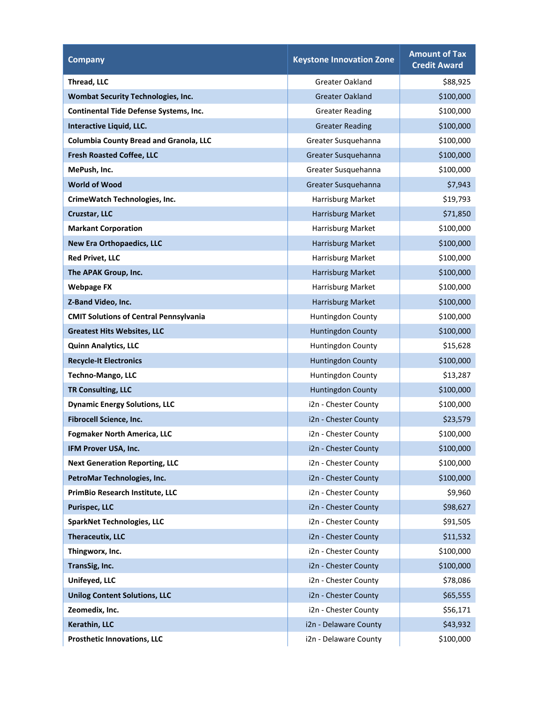| <b>Company</b>                                | <b>Keystone Innovation Zone</b> | <b>Amount of Tax</b><br><b>Credit Award</b> |
|-----------------------------------------------|---------------------------------|---------------------------------------------|
| Thread, LLC                                   | <b>Greater Oakland</b>          | \$88,925                                    |
| <b>Wombat Security Technologies, Inc.</b>     | <b>Greater Oakland</b>          | \$100,000                                   |
| <b>Continental Tide Defense Systems, Inc.</b> | <b>Greater Reading</b>          | \$100,000                                   |
| Interactive Liquid, LLC.                      | <b>Greater Reading</b>          | \$100,000                                   |
| <b>Columbia County Bread and Granola, LLC</b> | Greater Susquehanna             | \$100,000                                   |
| <b>Fresh Roasted Coffee, LLC</b>              | Greater Susquehanna             | \$100,000                                   |
| MePush, Inc.                                  | Greater Susquehanna             | \$100,000                                   |
| <b>World of Wood</b>                          | Greater Susquehanna             | \$7,943                                     |
| CrimeWatch Technologies, Inc.                 | Harrisburg Market               | \$19,793                                    |
| Cruzstar, LLC                                 | Harrisburg Market               | \$71,850                                    |
| <b>Markant Corporation</b>                    | Harrisburg Market               | \$100,000                                   |
| <b>New Era Orthopaedics, LLC</b>              | Harrisburg Market               | \$100,000                                   |
| <b>Red Privet, LLC</b>                        | Harrisburg Market               | \$100,000                                   |
| The APAK Group, Inc.                          | Harrisburg Market               | \$100,000                                   |
| <b>Webpage FX</b>                             | Harrisburg Market               | \$100,000                                   |
| Z-Band Video, Inc.                            | Harrisburg Market               | \$100,000                                   |
| <b>CMIT Solutions of Central Pennsylvania</b> | Huntingdon County               | \$100,000                                   |
| <b>Greatest Hits Websites, LLC</b>            | <b>Huntingdon County</b>        | \$100,000                                   |
| <b>Quinn Analytics, LLC</b>                   | Huntingdon County               | \$15,628                                    |
| <b>Recycle-It Electronics</b>                 | <b>Huntingdon County</b>        | \$100,000                                   |
| <b>Techno-Mango, LLC</b>                      | Huntingdon County               | \$13,287                                    |
| <b>TR Consulting, LLC</b>                     | <b>Huntingdon County</b>        | \$100,000                                   |
| <b>Dynamic Energy Solutions, LLC</b>          | i2n - Chester County            | \$100,000                                   |
| Fibrocell Science, Inc.                       | i2n - Chester County            | \$23,579                                    |
| <b>Fogmaker North America, LLC</b>            | i2n - Chester County            | \$100,000                                   |
| IFM Prover USA, Inc.                          | i2n - Chester County            | \$100,000                                   |
| <b>Next Generation Reporting, LLC</b>         | i2n - Chester County            | \$100,000                                   |
| PetroMar Technologies, Inc.                   | i2n - Chester County            | \$100,000                                   |
| PrimBio Research Institute, LLC               | i2n - Chester County            | \$9,960                                     |
| <b>Purispec, LLC</b>                          | i2n - Chester County            | \$98,627                                    |
| <b>SparkNet Technologies, LLC</b>             | i2n - Chester County            | \$91,505                                    |
| <b>Theraceutix, LLC</b>                       | i2n - Chester County            | \$11,532                                    |
| Thingworx, Inc.                               | i2n - Chester County            | \$100,000                                   |
| TransSig, Inc.                                | i2n - Chester County            | \$100,000                                   |
| Unifeyed, LLC                                 | i2n - Chester County            | \$78,086                                    |
| <b>Unilog Content Solutions, LLC</b>          | i2n - Chester County            | \$65,555                                    |
| Zeomedix, Inc.                                | i2n - Chester County            | \$56,171                                    |
| <b>Kerathin, LLC</b>                          | i2n - Delaware County           | \$43,932                                    |
| <b>Prosthetic Innovations, LLC</b>            | i2n - Delaware County           | \$100,000                                   |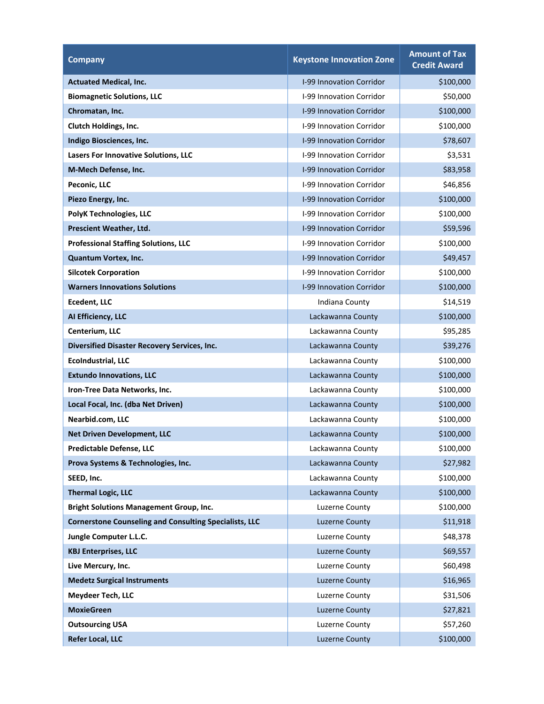| <b>Company</b>                                                | <b>Keystone Innovation Zone</b> | <b>Amount of Tax</b><br><b>Credit Award</b> |
|---------------------------------------------------------------|---------------------------------|---------------------------------------------|
| <b>Actuated Medical, Inc.</b>                                 | <b>I-99 Innovation Corridor</b> | \$100,000                                   |
| <b>Biomagnetic Solutions, LLC</b>                             | I-99 Innovation Corridor        | \$50,000                                    |
| Chromatan, Inc.                                               | <b>I-99 Innovation Corridor</b> | \$100,000                                   |
| <b>Clutch Holdings, Inc.</b>                                  | <b>I-99 Innovation Corridor</b> | \$100,000                                   |
| Indigo Biosciences, Inc.                                      | I-99 Innovation Corridor        | \$78,607                                    |
| Lasers For Innovative Solutions, LLC                          | I-99 Innovation Corridor        | \$3,531                                     |
| M-Mech Defense, Inc.                                          | I-99 Innovation Corridor        | \$83,958                                    |
| Peconic, LLC                                                  | <b>I-99 Innovation Corridor</b> | \$46,856                                    |
| Piezo Energy, Inc.                                            | I-99 Innovation Corridor        | \$100,000                                   |
| <b>PolyK Technologies, LLC</b>                                | I-99 Innovation Corridor        | \$100,000                                   |
| Prescient Weather, Ltd.                                       | I-99 Innovation Corridor        | \$59,596                                    |
| <b>Professional Staffing Solutions, LLC</b>                   | I-99 Innovation Corridor        | \$100,000                                   |
| Quantum Vortex, Inc.                                          | I-99 Innovation Corridor        | \$49,457                                    |
| <b>Silcotek Corporation</b>                                   | I-99 Innovation Corridor        | \$100,000                                   |
| <b>Warners Innovations Solutions</b>                          | I-99 Innovation Corridor        | \$100,000                                   |
| <b>Ecedent, LLC</b>                                           | Indiana County                  | \$14,519                                    |
| Al Efficiency, LLC                                            | Lackawanna County               | \$100,000                                   |
| Centerium, LLC                                                | Lackawanna County               | \$95,285                                    |
| <b>Diversified Disaster Recovery Services, Inc.</b>           | Lackawanna County               | \$39,276                                    |
| <b>EcoIndustrial, LLC</b>                                     | Lackawanna County               | \$100,000                                   |
| <b>Extundo Innovations, LLC</b>                               | Lackawanna County               | \$100,000                                   |
| Iron-Tree Data Networks, Inc.                                 | Lackawanna County               | \$100,000                                   |
| Local Focal, Inc. (dba Net Driven)                            | Lackawanna County               | \$100,000                                   |
| Nearbid.com, LLC                                              | Lackawanna County               | \$100,000                                   |
| <b>Net Driven Development, LLC</b>                            | Lackawanna County               | \$100,000                                   |
| <b>Predictable Defense, LLC</b>                               | Lackawanna County               | \$100,000                                   |
| Prova Systems & Technologies, Inc.                            | Lackawanna County               | \$27,982                                    |
| SEED, Inc.                                                    | Lackawanna County               | \$100,000                                   |
| <b>Thermal Logic, LLC</b>                                     | Lackawanna County               | \$100,000                                   |
| <b>Bright Solutions Management Group, Inc.</b>                | Luzerne County                  | \$100,000                                   |
| <b>Cornerstone Counseling and Consulting Specialists, LLC</b> | <b>Luzerne County</b>           | \$11,918                                    |
| Jungle Computer L.L.C.                                        | Luzerne County                  | \$48,378                                    |
| <b>KBJ Enterprises, LLC</b>                                   | <b>Luzerne County</b>           | \$69,557                                    |
| Live Mercury, Inc.                                            | Luzerne County                  | \$60,498                                    |
| <b>Medetz Surgical Instruments</b>                            | <b>Luzerne County</b>           | \$16,965                                    |
| <b>Meydeer Tech, LLC</b>                                      | Luzerne County                  | \$31,506                                    |
| <b>MoxieGreen</b>                                             | <b>Luzerne County</b>           | \$27,821                                    |
| <b>Outsourcing USA</b>                                        | Luzerne County                  | \$57,260                                    |
| <b>Refer Local, LLC</b>                                       | <b>Luzerne County</b>           | \$100,000                                   |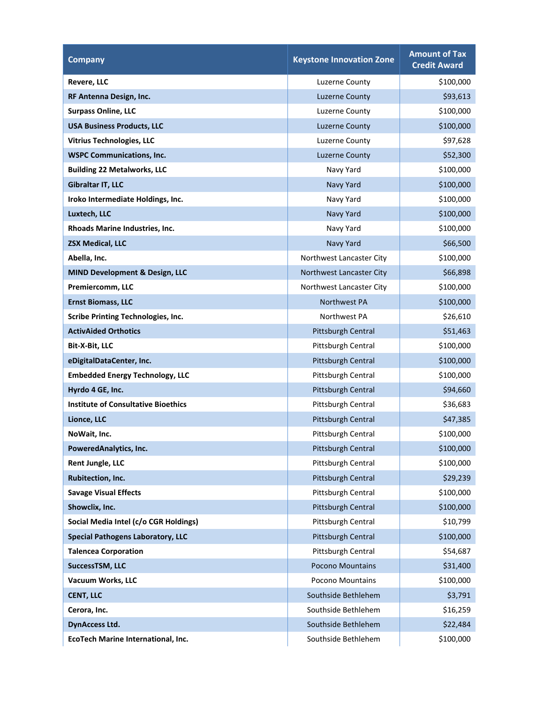| <b>Company</b>                             | <b>Keystone Innovation Zone</b> | <b>Amount of Tax</b><br><b>Credit Award</b> |
|--------------------------------------------|---------------------------------|---------------------------------------------|
| Revere, LLC                                | <b>Luzerne County</b>           | \$100,000                                   |
| RF Antenna Design, Inc.                    | <b>Luzerne County</b>           | \$93,613                                    |
| <b>Surpass Online, LLC</b>                 | Luzerne County                  | \$100,000                                   |
| <b>USA Business Products, LLC</b>          | <b>Luzerne County</b>           | \$100,000                                   |
| <b>Vitrius Technologies, LLC</b>           | Luzerne County                  | \$97,628                                    |
| <b>WSPC Communications, Inc.</b>           | <b>Luzerne County</b>           | \$52,300                                    |
| <b>Building 22 Metalworks, LLC</b>         | Navy Yard                       | \$100,000                                   |
| Gibraltar IT, LLC                          | Navy Yard                       | \$100,000                                   |
| Iroko Intermediate Holdings, Inc.          | Navy Yard                       | \$100,000                                   |
| Luxtech, LLC                               | Navy Yard                       | \$100,000                                   |
| Rhoads Marine Industries, Inc.             | Navy Yard                       | \$100,000                                   |
| <b>ZSX Medical, LLC</b>                    | Navy Yard                       | \$66,500                                    |
| Abella, Inc.                               | Northwest Lancaster City        | \$100,000                                   |
| <b>MIND Development &amp; Design, LLC</b>  | Northwest Lancaster City        | \$66,898                                    |
| Premiercomm, LLC                           | Northwest Lancaster City        | \$100,000                                   |
| <b>Ernst Biomass, LLC</b>                  | Northwest PA                    | \$100,000                                   |
| <b>Scribe Printing Technologies, Inc.</b>  | Northwest PA                    | \$26,610                                    |
| <b>ActivAided Orthotics</b>                | Pittsburgh Central              | \$51,463                                    |
| Bit-X-Bit, LLC                             | Pittsburgh Central              | \$100,000                                   |
| eDigitalDataCenter, Inc.                   | Pittsburgh Central              | \$100,000                                   |
| <b>Embedded Energy Technology, LLC</b>     | Pittsburgh Central              | \$100,000                                   |
| Hyrdo 4 GE, Inc.                           | Pittsburgh Central              | \$94,660                                    |
| <b>Institute of Consultative Bioethics</b> | Pittsburgh Central              | \$36,683                                    |
| Lionce, LLC                                | Pittsburgh Central              | \$47,385                                    |
| NoWait, Inc.                               | Pittsburgh Central              | \$100,000                                   |
| PoweredAnalytics, Inc.                     | <b>Pittsburgh Central</b>       | \$100,000                                   |
| Rent Jungle, LLC                           | Pittsburgh Central              | \$100,000                                   |
| Rubitection, Inc.                          | Pittsburgh Central              | \$29,239                                    |
| <b>Savage Visual Effects</b>               | Pittsburgh Central              | \$100,000                                   |
| Showclix, Inc.                             | Pittsburgh Central              | \$100,000                                   |
| Social Media Intel (c/o CGR Holdings)      | Pittsburgh Central              | \$10,799                                    |
| <b>Special Pathogens Laboratory, LLC</b>   | Pittsburgh Central              | \$100,000                                   |
| <b>Talencea Corporation</b>                | Pittsburgh Central              | \$54,687                                    |
| <b>SuccessTSM, LLC</b>                     | Pocono Mountains                | \$31,400                                    |
| Vacuum Works, LLC                          | Pocono Mountains                | \$100,000                                   |
| <b>CENT, LLC</b>                           | Southside Bethlehem             | \$3,791                                     |
| Cerora, Inc.                               | Southside Bethlehem             | \$16,259                                    |
| <b>DynAccess Ltd.</b>                      | Southside Bethlehem             | \$22,484                                    |
| EcoTech Marine International, Inc.         | Southside Bethlehem             | \$100,000                                   |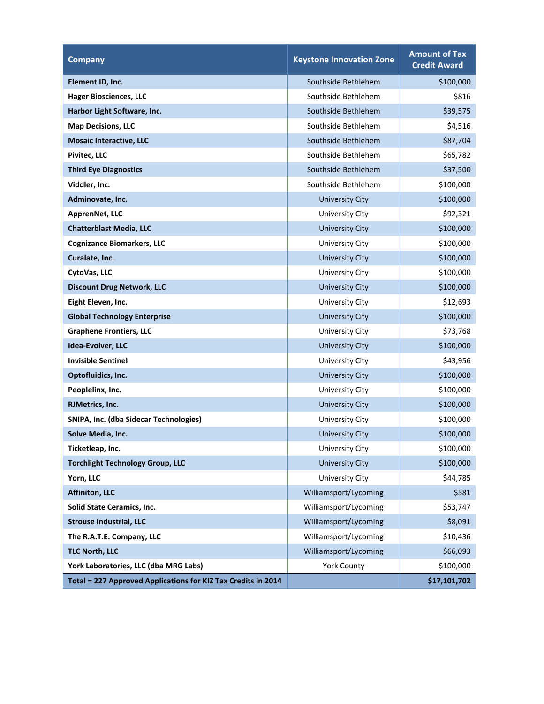| <b>Company</b>                                                | <b>Keystone Innovation Zone</b> | <b>Amount of Tax</b><br><b>Credit Award</b> |
|---------------------------------------------------------------|---------------------------------|---------------------------------------------|
| Element ID, Inc.                                              | Southside Bethlehem             | \$100,000                                   |
| <b>Hager Biosciences, LLC</b>                                 | Southside Bethlehem             | \$816                                       |
| Harbor Light Software, Inc.                                   | Southside Bethlehem             | \$39,575                                    |
| <b>Map Decisions, LLC</b>                                     | Southside Bethlehem             | \$4,516                                     |
| <b>Mosaic Interactive, LLC</b>                                | Southside Bethlehem             | \$87,704                                    |
| <b>Pivitec. LLC</b>                                           | Southside Bethlehem             | \$65,782                                    |
| <b>Third Eye Diagnostics</b>                                  | Southside Bethlehem             | \$37,500                                    |
| Viddler, Inc.                                                 | Southside Bethlehem             | \$100,000                                   |
| Adminovate, Inc.                                              | <b>University City</b>          | \$100,000                                   |
| ApprenNet, LLC                                                | University City                 | \$92,321                                    |
| <b>Chatterblast Media, LLC</b>                                | <b>University City</b>          | \$100,000                                   |
| <b>Cognizance Biomarkers, LLC</b>                             | University City                 | \$100,000                                   |
| Curalate, Inc.                                                | <b>University City</b>          | \$100,000                                   |
| CytoVas, LLC                                                  | University City                 | \$100,000                                   |
| <b>Discount Drug Network, LLC</b>                             | <b>University City</b>          | \$100,000                                   |
| Eight Eleven, Inc.                                            | University City                 | \$12,693                                    |
| <b>Global Technology Enterprise</b>                           | <b>University City</b>          | \$100,000                                   |
| <b>Graphene Frontiers, LLC</b>                                | <b>University City</b>          | \$73,768                                    |
| Idea-Evolver, LLC                                             | <b>University City</b>          | \$100,000                                   |
| <b>Invisible Sentinel</b>                                     | University City                 | \$43,956                                    |
| Optofluidics, Inc.                                            | <b>University City</b>          | \$100,000                                   |
| Peoplelinx, Inc.                                              | University City                 | \$100,000                                   |
| RJMetrics, Inc.                                               | <b>University City</b>          | \$100,000                                   |
| SNIPA, Inc. (dba Sidecar Technologies)                        | University City                 | \$100,000                                   |
| Solve Media, Inc.                                             | <b>University City</b>          | \$100,000                                   |
| Ticketleap, Inc.                                              | <b>University City</b>          | \$100,000                                   |
| <b>Torchlight Technology Group, LLC</b>                       | <b>University City</b>          | \$100,000                                   |
| Yorn, LLC                                                     | University City                 | \$44,785                                    |
| <b>Affiniton, LLC</b>                                         | Williamsport/Lycoming           | \$581                                       |
| <b>Solid State Ceramics, Inc.</b>                             | Williamsport/Lycoming           | \$53,747                                    |
| <b>Strouse Industrial, LLC</b>                                | Williamsport/Lycoming           | \$8,091                                     |
| The R.A.T.E. Company, LLC                                     | Williamsport/Lycoming           | \$10,436                                    |
| <b>TLC North, LLC</b>                                         | Williamsport/Lycoming           | \$66,093                                    |
| York Laboratories, LLC (dba MRG Labs)                         | <b>York County</b>              | \$100,000                                   |
| Total = 227 Approved Applications for KIZ Tax Credits in 2014 |                                 | \$17,101,702                                |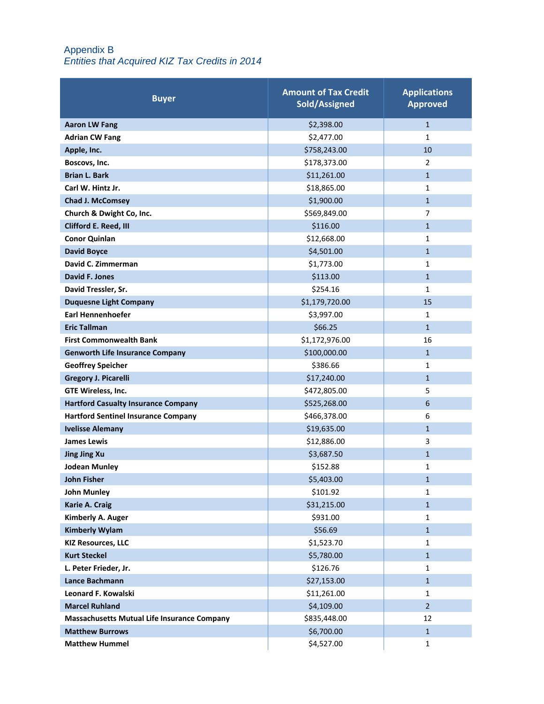#### Appendix B *Entities that Acquired KIZ Tax Credits in 2014*

| <b>Buyer</b>                                       | <b>Amount of Tax Credit</b><br>Sold/Assigned | <b>Applications</b><br><b>Approved</b> |
|----------------------------------------------------|----------------------------------------------|----------------------------------------|
| <b>Aaron LW Fang</b>                               | \$2,398.00                                   | $\mathbf{1}$                           |
| <b>Adrian CW Fang</b>                              | \$2,477.00                                   | 1                                      |
| Apple, Inc.                                        | \$758,243.00                                 | 10                                     |
| Boscovs, Inc.                                      | \$178,373.00                                 | $\overline{2}$                         |
| <b>Brian L. Bark</b>                               | \$11,261.00                                  | $\mathbf{1}$                           |
| Carl W. Hintz Jr.                                  | \$18,865.00                                  | 1                                      |
| <b>Chad J. McComsey</b>                            | \$1,900.00                                   | $\mathbf{1}$                           |
| Church & Dwight Co, Inc.                           | \$569,849.00                                 | 7                                      |
| Clifford E. Reed, III                              | \$116.00                                     | $\mathbf{1}$                           |
| <b>Conor Quinlan</b>                               | \$12,668.00                                  | 1                                      |
| <b>David Boyce</b>                                 | \$4,501.00                                   | $\mathbf{1}$                           |
| David C. Zimmerman                                 | \$1,773.00                                   | 1                                      |
| <b>David F. Jones</b>                              | \$113.00                                     | $\mathbf{1}$                           |
| David Tressler, Sr.                                | \$254.16                                     | $\mathbf{1}$                           |
| <b>Duquesne Light Company</b>                      | \$1,179,720.00                               | 15                                     |
| <b>Earl Hennenhoefer</b>                           | \$3,997.00                                   | 1                                      |
| <b>Eric Tallman</b>                                | \$66.25                                      | $\mathbf{1}$                           |
| <b>First Commonwealth Bank</b>                     | \$1,172,976.00                               | 16                                     |
| <b>Genworth Life Insurance Company</b>             | \$100,000.00                                 | $\mathbf{1}$                           |
| <b>Geoffrey Speicher</b>                           | \$386.66                                     | 1                                      |
| <b>Gregory J. Picarelli</b>                        | \$17,240.00                                  | $\mathbf{1}$                           |
| GTE Wireless, Inc.                                 | \$472,805.00                                 | 5                                      |
| <b>Hartford Casualty Insurance Company</b>         | \$525,268.00                                 | 6                                      |
| <b>Hartford Sentinel Insurance Company</b>         | \$466,378.00                                 | 6                                      |
| <b>Ivelisse Alemany</b>                            | \$19,635.00                                  | $\mathbf{1}$                           |
| <b>James Lewis</b>                                 | \$12,886.00                                  | 3                                      |
| <b>Jing Jing Xu</b>                                | \$3,687.50                                   | $\mathbf{1}$                           |
| <b>Jodean Munley</b>                               | \$152.88                                     | 1                                      |
| <b>John Fisher</b>                                 | \$5,403.00                                   | 1                                      |
| John Munley                                        | \$101.92                                     | 1                                      |
| Karie A. Craig                                     | \$31,215.00                                  | $\mathbf{1}$                           |
| Kimberly A. Auger                                  | \$931.00                                     | $\mathbf{1}$                           |
| <b>Kimberly Wylam</b>                              | \$56.69                                      | $\mathbf{1}$                           |
| <b>KIZ Resources, LLC</b>                          | \$1,523.70                                   | 1                                      |
| <b>Kurt Steckel</b>                                | \$5,780.00                                   | $\mathbf{1}$                           |
| L. Peter Frieder, Jr.                              | \$126.76                                     | $\mathbf{1}$                           |
| Lance Bachmann                                     | \$27,153.00                                  | $\mathbf{1}$                           |
| <b>Leonard F. Kowalski</b>                         | \$11,261.00                                  | 1                                      |
| <b>Marcel Ruhland</b>                              | \$4,109.00                                   | $\overline{2}$                         |
| <b>Massachusetts Mutual Life Insurance Company</b> | \$835,448.00                                 | 12                                     |
| <b>Matthew Burrows</b>                             | \$6,700.00                                   | $\mathbf{1}$                           |
| <b>Matthew Hummel</b>                              | \$4,527.00                                   | $\mathbf{1}$                           |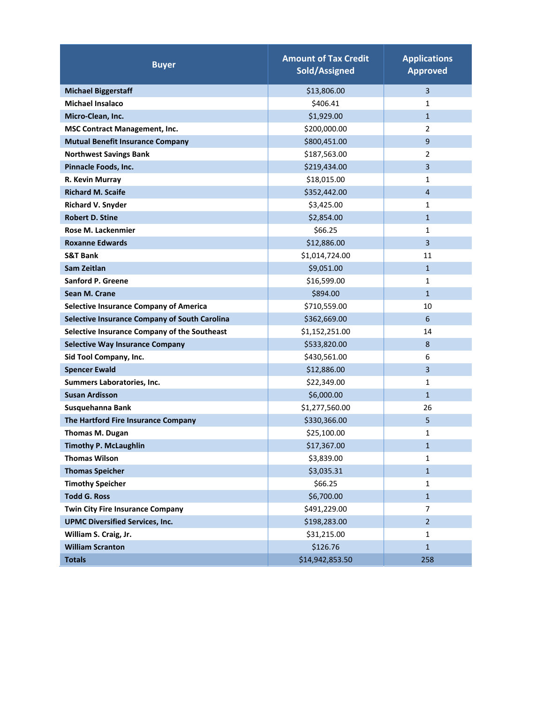| <b>Buyer</b>                                         | <b>Amount of Tax Credit</b><br>Sold/Assigned | <b>Applications</b><br><b>Approved</b> |
|------------------------------------------------------|----------------------------------------------|----------------------------------------|
| <b>Michael Biggerstaff</b>                           | \$13,806.00                                  | 3                                      |
| <b>Michael Insalaco</b>                              | \$406.41                                     | 1                                      |
| Micro-Clean, Inc.                                    | \$1,929.00                                   | $\mathbf{1}$                           |
| <b>MSC Contract Management, Inc.</b>                 | \$200,000.00                                 | $\overline{2}$                         |
| <b>Mutual Benefit Insurance Company</b>              | \$800,451.00                                 | 9                                      |
| <b>Northwest Savings Bank</b>                        | \$187,563.00                                 | $\overline{2}$                         |
| Pinnacle Foods, Inc.                                 | \$219,434.00                                 | 3                                      |
| R. Kevin Murray                                      | \$18,015.00                                  | 1                                      |
| <b>Richard M. Scaife</b>                             | \$352,442.00                                 | 4                                      |
| <b>Richard V. Snyder</b>                             | \$3,425.00                                   | 1                                      |
| <b>Robert D. Stine</b>                               | \$2,854.00                                   | $\mathbf{1}$                           |
| Rose M. Lackenmier                                   | \$66.25                                      | $\mathbf{1}$                           |
| <b>Roxanne Edwards</b>                               | \$12,886.00                                  | 3                                      |
| <b>S&amp;T Bank</b>                                  | \$1,014,724.00                               | 11                                     |
| Sam Zeitlan                                          | \$9,051.00                                   | $\mathbf{1}$                           |
| <b>Sanford P. Greene</b>                             | \$16,599.00                                  | 1                                      |
| Sean M. Crane                                        | \$894.00                                     | $\mathbf{1}$                           |
| <b>Selective Insurance Company of America</b>        | \$710,559.00                                 | 10                                     |
| <b>Selective Insurance Company of South Carolina</b> | \$362,669.00                                 | 6                                      |
| Selective Insurance Company of the Southeast         | \$1,152,251.00                               | 14                                     |
| <b>Selective Way Insurance Company</b>               | \$533,820.00                                 | 8                                      |
| Sid Tool Company, Inc.                               | \$430,561.00                                 | 6                                      |
| <b>Spencer Ewald</b>                                 | \$12,886.00                                  | 3                                      |
| Summers Laboratories, Inc.                           | \$22,349.00                                  | 1                                      |
| <b>Susan Ardisson</b>                                | \$6,000.00                                   | $\mathbf{1}$                           |
| Susquehanna Bank                                     | \$1,277,560.00                               | 26                                     |
| The Hartford Fire Insurance Company                  | \$330,366.00                                 | 5                                      |
| <b>Thomas M. Dugan</b>                               | \$25,100.00                                  | $\mathbf{1}$                           |
| <b>Timothy P. McLaughlin</b>                         | \$17,367.00                                  | $\mathbf{1}$                           |
| <b>Thomas Wilson</b>                                 | \$3,839.00                                   | $\mathbf{1}$                           |
| <b>Thomas Speicher</b>                               | \$3,035.31                                   | $\mathbf{1}$                           |
| <b>Timothy Speicher</b>                              | \$66.25                                      | $\mathbf{1}$                           |
| <b>Todd G. Ross</b>                                  | \$6,700.00                                   | $\mathbf{1}$                           |
| <b>Twin City Fire Insurance Company</b>              | \$491,229.00                                 | 7                                      |
| <b>UPMC Diversified Services, Inc.</b>               | \$198,283.00                                 | $\overline{2}$                         |
| William S. Craig, Jr.                                | \$31,215.00                                  | $\mathbf{1}$                           |
| <b>William Scranton</b>                              | \$126.76                                     | $\mathbf{1}$                           |
| <b>Totals</b>                                        | \$14,942,853.50                              | 258                                    |